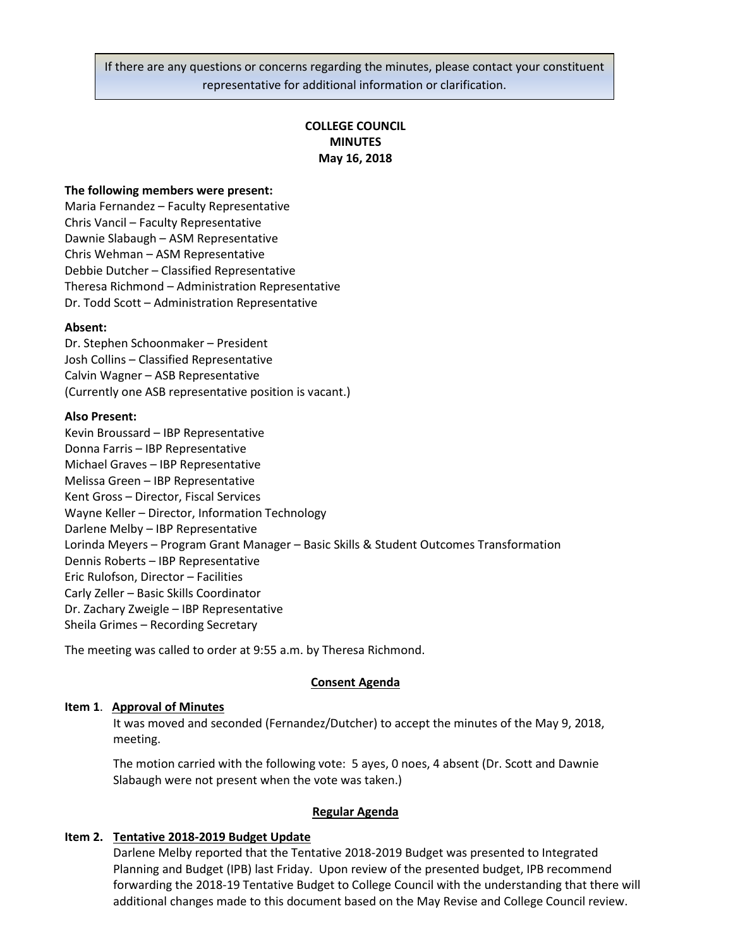If there are any questions or concerns regarding the minutes, please contact your constituent representative for additional information or clarification.

# **COLLEGE COUNCIL MINUTES May 16, 2018**

### **The following members were present:**

Maria Fernandez – Faculty Representative Chris Vancil – Faculty Representative Dawnie Slabaugh – ASM Representative Chris Wehman – ASM Representative Debbie Dutcher – Classified Representative Theresa Richmond – Administration Representative Dr. Todd Scott – Administration Representative

#### **Absent:**

Dr. Stephen Schoonmaker – President Josh Collins – Classified Representative Calvin Wagner – ASB Representative (Currently one ASB representative position is vacant.)

#### **Also Present:**

Kevin Broussard – IBP Representative Donna Farris – IBP Representative Michael Graves – IBP Representative Melissa Green – IBP Representative Kent Gross – Director, Fiscal Services Wayne Keller – Director, Information Technology Darlene Melby – IBP Representative Lorinda Meyers – Program Grant Manager – Basic Skills & Student Outcomes Transformation Dennis Roberts – IBP Representative Eric Rulofson, Director – Facilities Carly Zeller – Basic Skills Coordinator Dr. Zachary Zweigle – IBP Representative Sheila Grimes – Recording Secretary

The meeting was called to order at 9:55 a.m. by Theresa Richmond.

#### **Consent Agenda**

#### **Item 1**. **Approval of Minutes**

It was moved and seconded (Fernandez/Dutcher) to accept the minutes of the May 9, 2018, meeting.

The motion carried with the following vote: 5 ayes, 0 noes, 4 absent (Dr. Scott and Dawnie Slabaugh were not present when the vote was taken.)

#### **Regular Agenda**

### **Item 2. Tentative 2018-2019 Budget Update**

Darlene Melby reported that the Tentative 2018-2019 Budget was presented to Integrated Planning and Budget (IPB) last Friday. Upon review of the presented budget, IPB recommend forwarding the 2018-19 Tentative Budget to College Council with the understanding that there will additional changes made to this document based on the May Revise and College Council review.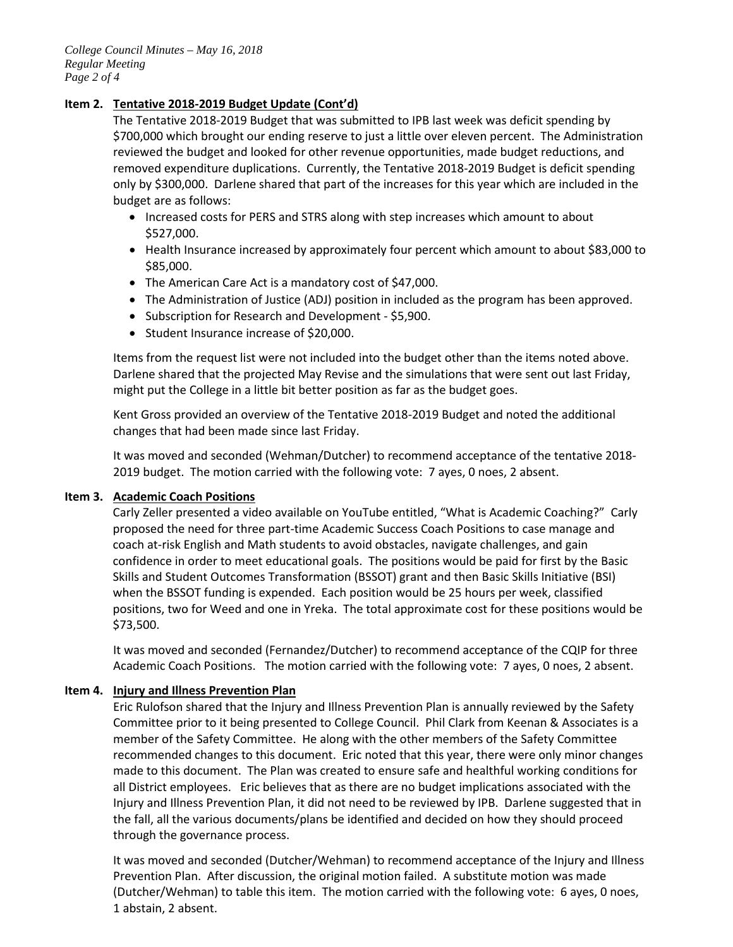# **Item 2. Tentative 2018-2019 Budget Update (Cont'd)**

The Tentative 2018-2019 Budget that was submitted to IPB last week was deficit spending by \$700,000 which brought our ending reserve to just a little over eleven percent. The Administration reviewed the budget and looked for other revenue opportunities, made budget reductions, and removed expenditure duplications. Currently, the Tentative 2018-2019 Budget is deficit spending only by \$300,000. Darlene shared that part of the increases for this year which are included in the budget are as follows:

- Increased costs for PERS and STRS along with step increases which amount to about \$527,000.
- Health Insurance increased by approximately four percent which amount to about \$83,000 to \$85,000.
- The American Care Act is a mandatory cost of \$47,000.
- The Administration of Justice (ADJ) position in included as the program has been approved.
- Subscription for Research and Development \$5,900.
- Student Insurance increase of \$20,000.

Items from the request list were not included into the budget other than the items noted above. Darlene shared that the projected May Revise and the simulations that were sent out last Friday, might put the College in a little bit better position as far as the budget goes.

Kent Gross provided an overview of the Tentative 2018-2019 Budget and noted the additional changes that had been made since last Friday.

It was moved and seconded (Wehman/Dutcher) to recommend acceptance of the tentative 2018- 2019 budget. The motion carried with the following vote: 7 ayes, 0 noes, 2 absent.

# **Item 3. Academic Coach Positions**

Carly Zeller presented a video available on YouTube entitled, "What is Academic Coaching?" Carly proposed the need for three part-time Academic Success Coach Positions to case manage and coach at-risk English and Math students to avoid obstacles, navigate challenges, and gain confidence in order to meet educational goals. The positions would be paid for first by the Basic Skills and Student Outcomes Transformation (BSSOT) grant and then Basic Skills Initiative (BSI) when the BSSOT funding is expended. Each position would be 25 hours per week, classified positions, two for Weed and one in Yreka. The total approximate cost for these positions would be \$73,500.

It was moved and seconded (Fernandez/Dutcher) to recommend acceptance of the CQIP for three Academic Coach Positions. The motion carried with the following vote: 7 ayes, 0 noes, 2 absent.

# **Item 4. Injury and Illness Prevention Plan**

Eric Rulofson shared that the Injury and Illness Prevention Plan is annually reviewed by the Safety Committee prior to it being presented to College Council. Phil Clark from Keenan & Associates is a member of the Safety Committee. He along with the other members of the Safety Committee recommended changes to this document. Eric noted that this year, there were only minor changes made to this document. The Plan was created to ensure safe and healthful working conditions for all District employees. Eric believes that as there are no budget implications associated with the Injury and Illness Prevention Plan, it did not need to be reviewed by IPB. Darlene suggested that in the fall, all the various documents/plans be identified and decided on how they should proceed through the governance process.

It was moved and seconded (Dutcher/Wehman) to recommend acceptance of the Injury and Illness Prevention Plan. After discussion, the original motion failed. A substitute motion was made (Dutcher/Wehman) to table this item. The motion carried with the following vote: 6 ayes, 0 noes, 1 abstain, 2 absent.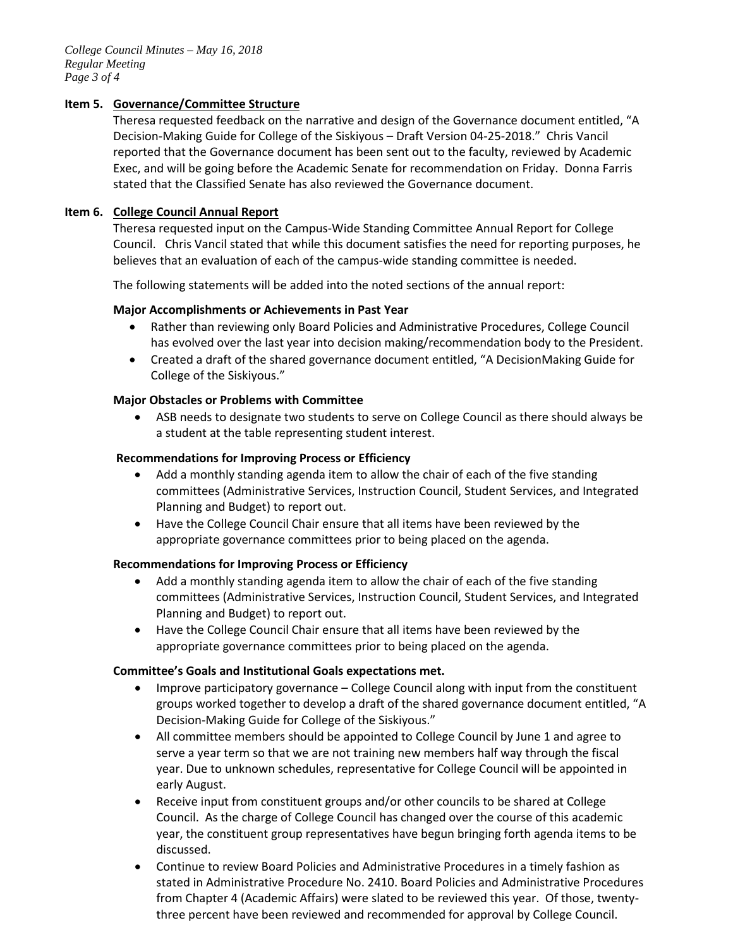# **Item 5. Governance/Committee Structure**

Theresa requested feedback on the narrative and design of the Governance document entitled, "A Decision-Making Guide for College of the Siskiyous – Draft Version 04-25-2018." Chris Vancil reported that the Governance document has been sent out to the faculty, reviewed by Academic Exec, and will be going before the Academic Senate for recommendation on Friday. Donna Farris stated that the Classified Senate has also reviewed the Governance document.

## **Item 6. College Council Annual Report**

Theresa requested input on the Campus-Wide Standing Committee Annual Report for College Council. Chris Vancil stated that while this document satisfies the need for reporting purposes, he believes that an evaluation of each of the campus-wide standing committee is needed.

The following statements will be added into the noted sections of the annual report:

## **Major Accomplishments or Achievements in Past Year**

- Rather than reviewing only Board Policies and Administrative Procedures, College Council has evolved over the last year into decision making/recommendation body to the President.
- Created a draft of the shared governance document entitled, "A DecisionMaking Guide for College of the Siskiyous."

## **Major Obstacles or Problems with Committee**

• ASB needs to designate two students to serve on College Council as there should always be a student at the table representing student interest.

## **Recommendations for Improving Process or Efficiency**

- Add a monthly standing agenda item to allow the chair of each of the five standing committees (Administrative Services, Instruction Council, Student Services, and Integrated Planning and Budget) to report out.
- Have the College Council Chair ensure that all items have been reviewed by the appropriate governance committees prior to being placed on the agenda.

### **Recommendations for Improving Process or Efficiency**

- Add a monthly standing agenda item to allow the chair of each of the five standing committees (Administrative Services, Instruction Council, Student Services, and Integrated Planning and Budget) to report out.
- Have the College Council Chair ensure that all items have been reviewed by the appropriate governance committees prior to being placed on the agenda.

# **Committee's Goals and Institutional Goals expectations met.**

- Improve participatory governance College Council along with input from the constituent groups worked together to develop a draft of the shared governance document entitled, "A Decision-Making Guide for College of the Siskiyous."
- All committee members should be appointed to College Council by June 1 and agree to serve a year term so that we are not training new members half way through the fiscal year. Due to unknown schedules, representative for College Council will be appointed in early August.
- Receive input from constituent groups and/or other councils to be shared at College Council. As the charge of College Council has changed over the course of this academic year, the constituent group representatives have begun bringing forth agenda items to be discussed.
- Continue to review Board Policies and Administrative Procedures in a timely fashion as stated in Administrative Procedure No. 2410. Board Policies and Administrative Procedures from Chapter 4 (Academic Affairs) were slated to be reviewed this year. Of those, twentythree percent have been reviewed and recommended for approval by College Council.